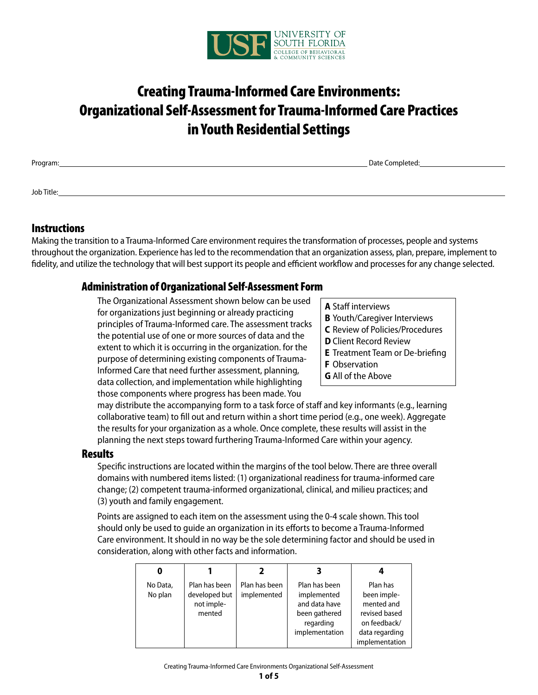

# Creating Trauma-Informed Care Environments: Organizational Self-Assessment for Trauma-Informed Care Practices in Youth Residential Settings

Program: Date Completed: Date Completed: Date Completed: Date Completed: Date Completed: Date Completed: Date Completed: Date Completed: Date Completed: Date Completed: Date Completed: Date Completed: Date Completed: Date

Job Title:

### **Instructions**

Making the transition to a Trauma-Informed Care environment requires the transformation of processes, people and systems throughout the organization. Experience has led to the recommendation that an organization assess, plan, prepare, implement to fidelity, and utilize the technology that will best support its people and efficient workflow and processes for any change selected.

### Administration of Organizational Self-Assessment Form

The Organizational Assessment shown below can be used for organizations just beginning or already practicing principles of Trauma-Informed care. The assessment tracks the potential use of one or more sources of data and the extent to which it is occurring in the organization. for the purpose of determining existing components of Trauma-Informed Care that need further assessment, planning, data collection, and implementation while highlighting those components where progress has been made. You

- **A** Staff interviews
- **B** Youth/Caregiver Interviews
- **C** Review of Policies/Procedures
- **D** Client Record Review
- **E** Treatment Team or De-briefing
- **F** Observation
- **G** All of the Above

may distribute the accompanying form to a task force of staff and key informants (e.g., learning collaborative team) to fill out and return within a short time period (e.g., one week). Aggregate the results for your organization as a whole. Once complete, these results will assist in the planning the next steps toward furthering Trauma-Informed Care within your agency.

### **Results**

Specific instructions are located within the margins of the tool below. There are three overall domains with numbered items listed: (1) organizational readiness for trauma-informed care change; (2) competent trauma-informed organizational, clinical, and milieu practices; and (3) youth and family engagement.

Points are assigned to each item on the assessment using the 0-4 scale shown. This tool should only be used to guide an organization in its efforts to become a Trauma-Informed Care environment. It should in no way be the sole determining factor and should be used in consideration, along with other facts and information.

| No Data,<br>No plan | Plan has been<br>developed but<br>not imple-<br>mented | Plan has been<br>implemented | Plan has been<br>implemented<br>and data have<br>been gathered<br>regarding<br>implementation | Plan has<br>been imple-<br>mented and<br>revised based<br>on feedback/<br>data regarding<br>implementation |
|---------------------|--------------------------------------------------------|------------------------------|-----------------------------------------------------------------------------------------------|------------------------------------------------------------------------------------------------------------|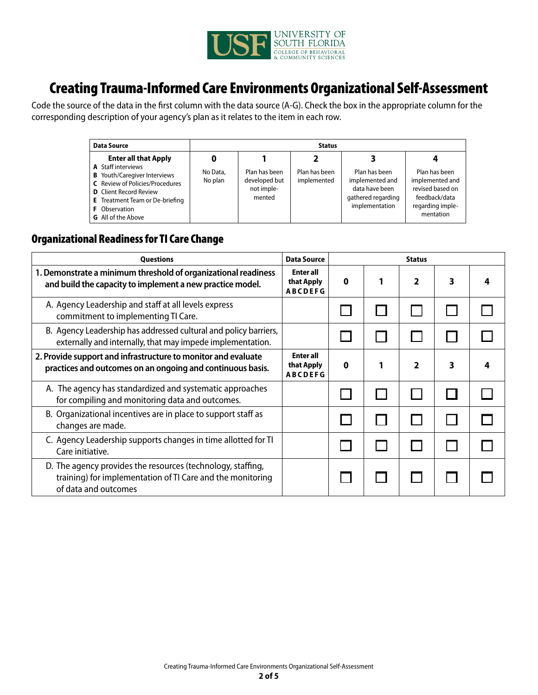

# Creating Trauma-Informed Care Environments Organizational Self-Assessment

Code the source of the data in the first column with the data source (A-G). Check the box in the appropriate column for the corresponding description of your agency's plan as it relates to the item in each row.

| <b>Data Source</b>                                                                                                                                                                                                                                                        | <b>Status</b>       |                                                        |                              |                                                                                            |                                                                                                        |  |  |  |
|---------------------------------------------------------------------------------------------------------------------------------------------------------------------------------------------------------------------------------------------------------------------------|---------------------|--------------------------------------------------------|------------------------------|--------------------------------------------------------------------------------------------|--------------------------------------------------------------------------------------------------------|--|--|--|
| <b>Enter all that Apply</b><br><b>A</b> Staff interviews<br><b>B</b> Youth/Caregiver Interviews<br><b>C</b> Review of Policies/Procedures<br><b>D</b> Client Record Review<br><b>E</b> Treatment Team or De-briefing<br><b>F</b> Observation<br><b>G</b> All of the Above | No Data,<br>No plan | Plan has been<br>developed but<br>not imple-<br>mented | Plan has been<br>implemented | Plan has been<br>implemented and<br>data have been<br>gathered regarding<br>implementation | Plan has been<br>implemented and<br>revised based on<br>feedback/data<br>regarding imple-<br>mentation |  |  |  |

## Organizational Readiness for TI Care Change

| <b>Questions</b><br>Data Source                                                                                                                   |                                                  |             | <b>Status</b> |   |  |
|---------------------------------------------------------------------------------------------------------------------------------------------------|--------------------------------------------------|-------------|---------------|---|--|
| 1. Demonstrate a minimum threshold of organizational readiness<br>and build the capacity to implement a new practice model.                       | <b>Enter all</b><br>that Apply<br><b>ABCDEFG</b> | 0           | 2             | 3 |  |
| A. Agency Leadership and staff at all levels express<br>commitment to implementing TI Care.                                                       |                                                  |             |               |   |  |
| B. Agency Leadership has addressed cultural and policy barriers,<br>externally and internally, that may impede implementation.                    |                                                  |             |               |   |  |
| 2. Provide support and infrastructure to monitor and evaluate<br>practices and outcomes on an ongoing and continuous basis.                       | <b>Enter all</b><br>that Apply<br><b>ABCDEFG</b> | $\mathbf 0$ | $\mathbf{z}$  | 3 |  |
| A. The agency has standardized and systematic approaches<br>for compiling and monitoring data and outcomes.                                       |                                                  |             |               |   |  |
| B. Organizational incentives are in place to support staff as<br>changes are made.                                                                |                                                  |             |               |   |  |
| C. Agency Leadership supports changes in time allotted for TI<br>Care initiative.                                                                 |                                                  |             |               |   |  |
| D. The agency provides the resources (technology, staffing,<br>training) for implementation of TI Care and the monitoring<br>of data and outcomes |                                                  |             |               |   |  |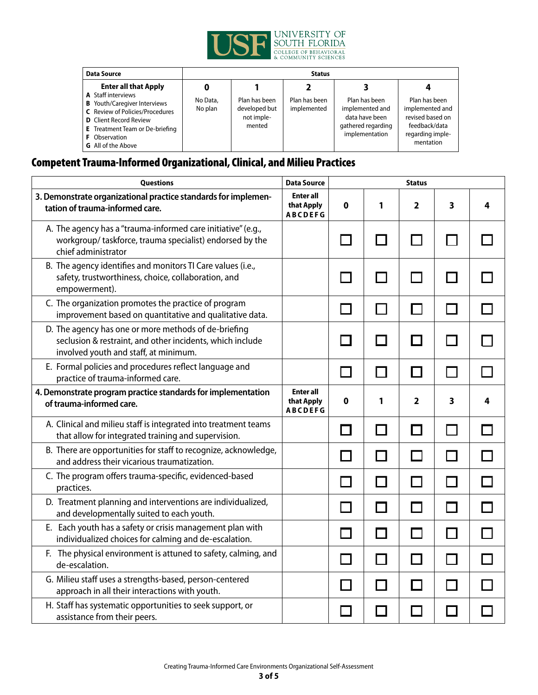

| <b>Data Source</b>                                                                                                                                                                                                                                                        | <b>Status</b>       |                                                        |                              |                                                                                            |                                                                                                        |  |  |  |
|---------------------------------------------------------------------------------------------------------------------------------------------------------------------------------------------------------------------------------------------------------------------------|---------------------|--------------------------------------------------------|------------------------------|--------------------------------------------------------------------------------------------|--------------------------------------------------------------------------------------------------------|--|--|--|
| <b>Enter all that Apply</b><br><b>A</b> Staff interviews<br><b>B</b> Youth/Caregiver Interviews<br><b>C</b> Review of Policies/Procedures<br><b>D</b> Client Record Review<br><b>E</b> Treatment Team or De-briefing<br><b>F</b> Observation<br><b>G</b> All of the Above | No Data,<br>No plan | Plan has been<br>developed but<br>not imple-<br>mented | Plan has been<br>implemented | Plan has been<br>implemented and<br>data have been<br>gathered regarding<br>implementation | Plan has been<br>implemented and<br>revised based on<br>feedback/data<br>regarding imple-<br>mentation |  |  |  |

## Competent Trauma-Informed Organizational, Clinical, and Milieu Practices

| Questions<br><b>Data Source</b>                                                                                                                            |                                                  |              |   | <b>Status</b>           |   |   |
|------------------------------------------------------------------------------------------------------------------------------------------------------------|--------------------------------------------------|--------------|---|-------------------------|---|---|
| 3. Demonstrate organizational practice standards for implemen-<br>tation of trauma-informed care.                                                          | <b>Enter all</b><br>that Apply<br><b>ABCDEFG</b> | 0            | 1 | 2                       | 3 | 4 |
| A. The agency has a "trauma-informed care initiative" (e.g.,<br>workgroup/taskforce, trauma specialist) endorsed by the<br>chief administrator             |                                                  |              |   |                         |   |   |
| B. The agency identifies and monitors TI Care values (i.e.,<br>safety, trustworthiness, choice, collaboration, and<br>empowerment).                        |                                                  |              |   |                         |   |   |
| C. The organization promotes the practice of program<br>improvement based on quantitative and qualitative data.                                            |                                                  |              |   |                         |   |   |
| D. The agency has one or more methods of de-briefing<br>seclusion & restraint, and other incidents, which include<br>involved youth and staff, at minimum. |                                                  |              |   |                         |   |   |
| E. Formal policies and procedures reflect language and<br>practice of trauma-informed care.                                                                |                                                  |              |   |                         |   |   |
| 4. Demonstrate program practice standards for implementation<br>of trauma-informed care.                                                                   | <b>Enter all</b><br>that Apply<br><b>ABCDEFG</b> | 0            | 1 | $\overline{\mathbf{2}}$ | 3 | 4 |
| A. Clinical and milieu staff is integrated into treatment teams<br>that allow for integrated training and supervision.                                     |                                                  | $\mathbf{I}$ |   |                         |   |   |
| B. There are opportunities for staff to recognize, acknowledge,<br>and address their vicarious traumatization.                                             |                                                  |              |   |                         |   |   |
| C. The program offers trauma-specific, evidenced-based<br>practices.                                                                                       |                                                  |              |   |                         |   |   |
| D. Treatment planning and interventions are individualized,<br>and developmentally suited to each youth.                                                   |                                                  |              |   |                         |   |   |
| E. Each youth has a safety or crisis management plan with<br>individualized choices for calming and de-escalation.                                         |                                                  |              |   |                         |   |   |
| F. The physical environment is attuned to safety, calming, and<br>de-escalation.                                                                           |                                                  |              |   |                         |   |   |
| G. Milieu staff uses a strengths-based, person-centered<br>approach in all their interactions with youth.                                                  |                                                  |              |   |                         |   |   |
| H. Staff has systematic opportunities to seek support, or<br>assistance from their peers.                                                                  |                                                  |              |   |                         |   |   |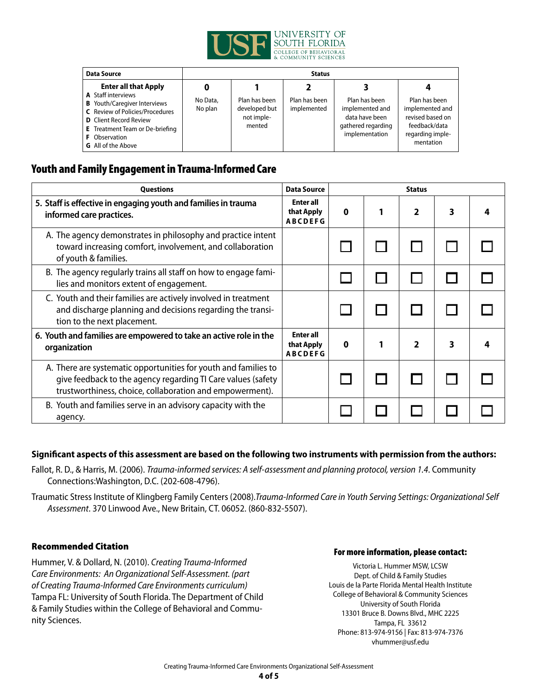

| <b>Data Source</b>                                                                                                                                                                                                                                                        | <b>Status</b>       |                                                        |                              |                                                                                            |                                                                                                        |  |  |  |
|---------------------------------------------------------------------------------------------------------------------------------------------------------------------------------------------------------------------------------------------------------------------------|---------------------|--------------------------------------------------------|------------------------------|--------------------------------------------------------------------------------------------|--------------------------------------------------------------------------------------------------------|--|--|--|
| <b>Enter all that Apply</b><br><b>A</b> Staff interviews<br><b>B</b> Youth/Caregiver Interviews<br><b>C</b> Review of Policies/Procedures<br><b>D</b> Client Record Review<br><b>E</b> Treatment Team or De-briefing<br><b>F</b> Observation<br><b>G</b> All of the Above | No Data,<br>No plan | Plan has been<br>developed but<br>not imple-<br>mented | Plan has been<br>implemented | Plan has been<br>implemented and<br>data have been<br>gathered regarding<br>implementation | Plan has been<br>implemented and<br>revised based on<br>feedback/data<br>regarding imple-<br>mentation |  |  |  |

## Youth and Family Engagement in Trauma-Informed Care

| Data Source<br><b>Ouestions</b>                                                                                                                                                             |                                                  | <b>Status</b> |  |                |   |  |  |
|---------------------------------------------------------------------------------------------------------------------------------------------------------------------------------------------|--------------------------------------------------|---------------|--|----------------|---|--|--|
| 5. Staff is effective in engaging youth and families in trauma<br>informed care practices.<br><b>ABCDEFG</b>                                                                                |                                                  | 0             |  | $\overline{2}$ | 3 |  |  |
| A. The agency demonstrates in philosophy and practice intent<br>toward increasing comfort, involvement, and collaboration<br>of youth & families.                                           |                                                  |               |  |                |   |  |  |
| B. The agency regularly trains all staff on how to engage fami-<br>lies and monitors extent of engagement.                                                                                  |                                                  |               |  |                |   |  |  |
| C. Youth and their families are actively involved in treatment<br>and discharge planning and decisions regarding the transi-<br>tion to the next placement.                                 |                                                  |               |  |                |   |  |  |
| 6. Youth and families are empowered to take an active role in the<br>organization                                                                                                           | <b>Enter all</b><br>that Apply<br><b>ABCDEFG</b> | 0             |  | $\mathbf{2}$   | 3 |  |  |
| A. There are systematic opportunities for youth and families to<br>give feedback to the agency regarding TI Care values (safety<br>trustworthiness, choice, collaboration and empowerment). |                                                  |               |  |                |   |  |  |
| B. Youth and families serve in an advisory capacity with the<br>agency.                                                                                                                     |                                                  |               |  |                |   |  |  |

### **Significant aspects of this assessment are based on the following two instruments with permission from the authors:**

Fallot, R. D., & Harris, M. (2006). Trauma-informed services: A self-assessment and planning protocol, version 1.4. Community Connections:Washington, D.C. (202-608-4796).

Traumatic Stress Institute of Klingberg Family Centers (2008).Trauma-Informed Care in Youth Serving Settings: Organizational Self Assessment. 370 Linwood Ave., New Britain, CT. 06052. (860-832-5507).

### Recommended Citation

Hummer, V. & Dollard, N. (2010). Creating Trauma-Informed Care Environments: An Organizational Self-Assessment. (part of Creating Trauma-Informed Care Environments curriculum) Tampa FL: University of South Florida. The Department of Child & Family Studies within the College of Behavioral and Community Sciences.

#### For more information, please contact:

Victoria L. Hummer MSW, LCSW Dept. of Child & Family Studies Louis de la Parte Florida Mental Health Institute College of Behavioral & Community Sciences University of South Florida 13301 Bruce B. Downs Blvd., MHC 2225 Tampa, FL 33612 Phone: 813-974-9156 | Fax: 813-974-7376 vhummer@usf.edu